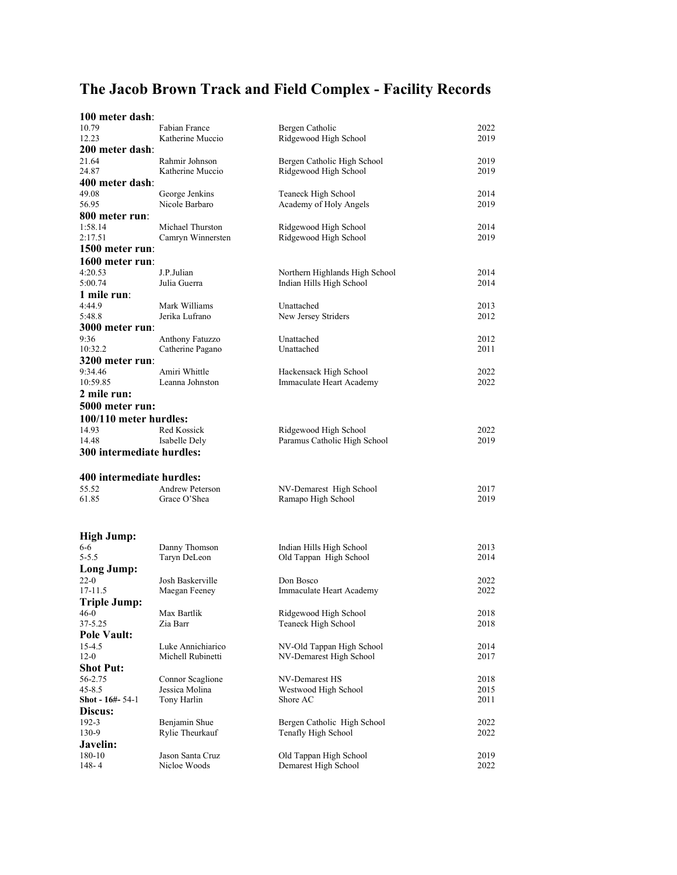## **The Jacob Brown Track and Field Complex - Facility Records**

| 100 meter dash:           |                        |                                |      |
|---------------------------|------------------------|--------------------------------|------|
| 10.79                     | Fabian France          | Bergen Catholic                | 2022 |
| 12.23                     | Katherine Muccio       | Ridgewood High School          | 2019 |
| 200 meter dash:           |                        |                                |      |
| 21.64                     | Rahmir Johnson         | Bergen Catholic High School    | 2019 |
| 24.87                     | Katherine Muccio       | Ridgewood High School          | 2019 |
| 400 meter dash:           |                        |                                |      |
| 49.08                     | George Jenkins         | Teaneck High School            | 2014 |
| 56.95                     | Nicole Barbaro         | Academy of Holy Angels         | 2019 |
| 800 meter run:            |                        |                                |      |
| 1:58.14                   | Michael Thurston       | Ridgewood High School          | 2014 |
| 2:17.51                   | Camryn Winnersten      | Ridgewood High School          | 2019 |
| 1500 meter run:           |                        |                                |      |
| 1600 meter run:           |                        |                                |      |
| 4:20.53                   | J.P.Julian             | Northern Highlands High School | 2014 |
| 5:00.74                   | Julia Guerra           | Indian Hills High School       | 2014 |
| 1 mile run:               |                        |                                |      |
| 4:44.9                    | Mark Williams          | Unattached                     | 2013 |
| 5:48.8                    | Jerika Lufrano         | New Jersey Striders            | 2012 |
| 3000 meter run:           |                        |                                |      |
| 9:36                      | Anthony Fatuzzo        | Unattached                     | 2012 |
| 10:32.2                   | Catherine Pagano       | Unattached                     | 2011 |
| 3200 meter run:           |                        |                                |      |
| 9:34.46                   | Amiri Whittle          | Hackensack High School         | 2022 |
| 10:59.85                  | Leanna Johnston        | Immaculate Heart Academy       | 2022 |
| 2 mile run:               |                        |                                |      |
| 5000 meter run:           |                        |                                |      |
|                           |                        |                                |      |
| 100/110 meter hurdles:    |                        |                                |      |
| 14.93                     | Red Kossick            | Ridgewood High School          | 2022 |
| 14.48                     | Isabelle Dely          | Paramus Catholic High School   | 2019 |
| 300 intermediate hurdles: |                        |                                |      |
|                           |                        |                                |      |
| 400 intermediate hurdles: |                        |                                |      |
| 55.52                     | <b>Andrew Peterson</b> | NV-Demarest High School        | 2017 |
| 61.85                     | Grace O'Shea           | Ramapo High School             | 2019 |
|                           |                        |                                |      |
|                           |                        |                                |      |
| High Jump:                |                        |                                |      |
| 6-6                       | Danny Thomson          | Indian Hills High School       | 2013 |
| $5 - 5.5$                 | Taryn DeLeon           | Old Tappan High School         | 2014 |
| Long Jump:                |                        |                                |      |
| $22-0$                    | Josh Baskerville       | Don Bosco                      | 2022 |
| $17 - 11.5$               | Maegan Feeney          | Immaculate Heart Academy       | 2022 |
| <b>Triple Jump:</b>       |                        |                                |      |
| $46-0$                    | Max Bartlik            | Ridgewood High School          | 2018 |
| 37-5.25                   | Zia Barr               | Teaneck High School            | 2018 |
| <b>Pole Vault:</b>        |                        |                                |      |
| 15-4.5                    | Luke Annichiarico      | NV-Old Tappan High School      | 2014 |
| $12-0$                    | Michell Rubinetti      | NV-Demarest High School        | 2017 |
| <b>Shot Put:</b>          |                        |                                |      |
| 56-2.75                   | Connor Scaglione       | NV-Demarest HS                 | 2018 |
| $45 - 8.5$                | Jessica Molina         | Westwood High School           | 2015 |
| Shot - 16#- 54-1          | Tony Harlin            | Shore AC                       | 2011 |
| Discus:                   |                        |                                |      |
| 192-3                     | Benjamin Shue          | Bergen Catholic High School    | 2022 |
| 130-9                     | Rylie Theurkauf        | Tenafly High School            | 2022 |
| Javelin:                  |                        |                                |      |
| 180-10                    | Jason Santa Cruz       | Old Tappan High School         | 2019 |
|                           |                        |                                |      |
| $148 - 4$                 | Nicloe Woods           | Demarest High School           | 2022 |